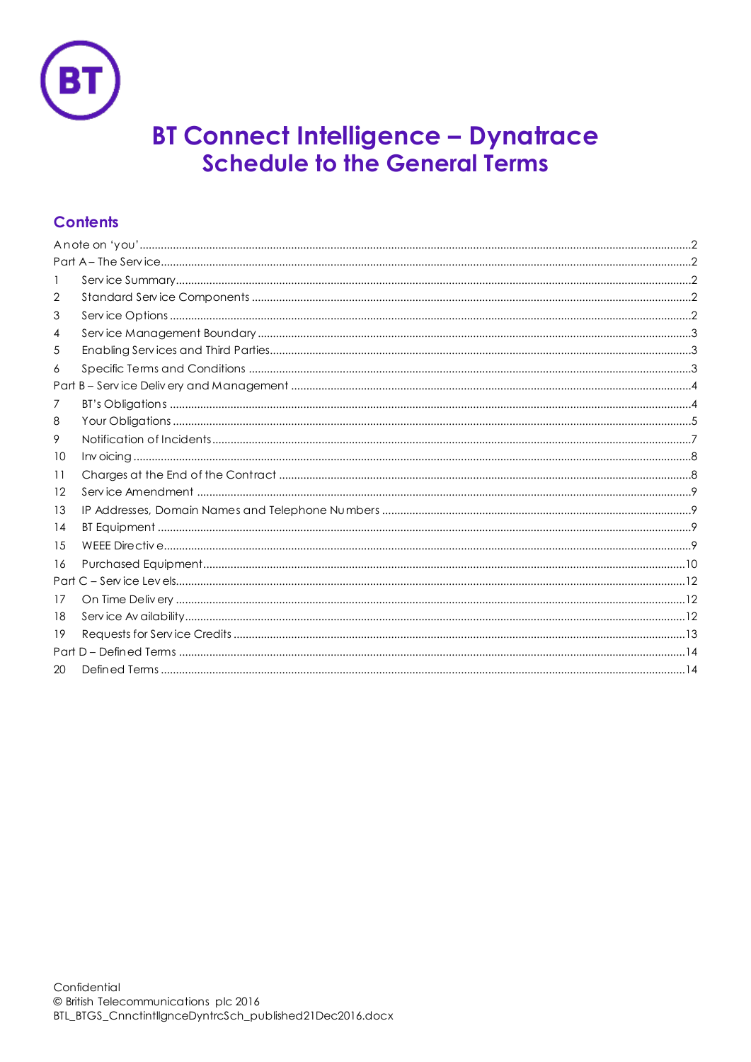

# **BT Connect Intelligence - Dynatrace<br>Schedule to the General Terms**

# **Contents**

| 2  |  |  |  |  |  |  |
|----|--|--|--|--|--|--|
| 3  |  |  |  |  |  |  |
| 4  |  |  |  |  |  |  |
| 5  |  |  |  |  |  |  |
| 6  |  |  |  |  |  |  |
|    |  |  |  |  |  |  |
| 7  |  |  |  |  |  |  |
| 8  |  |  |  |  |  |  |
| 9. |  |  |  |  |  |  |
| 10 |  |  |  |  |  |  |
| 11 |  |  |  |  |  |  |
| 12 |  |  |  |  |  |  |
| 13 |  |  |  |  |  |  |
| 14 |  |  |  |  |  |  |
| 15 |  |  |  |  |  |  |
| 16 |  |  |  |  |  |  |
|    |  |  |  |  |  |  |
| 17 |  |  |  |  |  |  |
| 18 |  |  |  |  |  |  |
| 19 |  |  |  |  |  |  |
|    |  |  |  |  |  |  |
| 20 |  |  |  |  |  |  |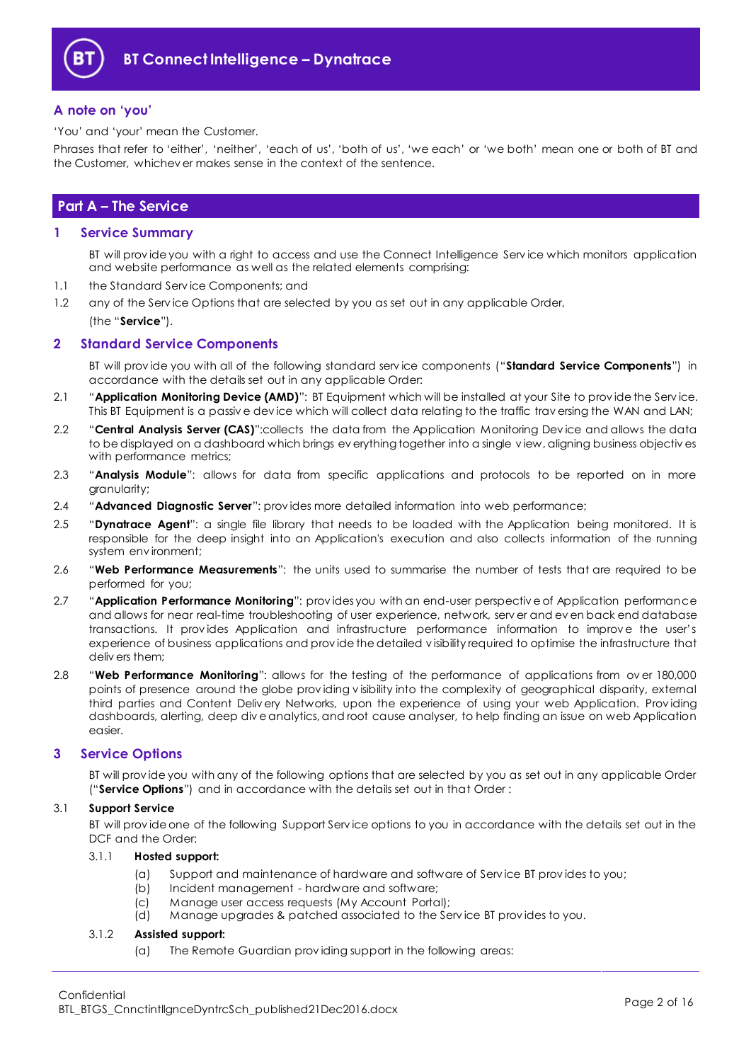

## <span id="page-1-0"></span>**A note on 'you'**

'You' and 'your' mean the Customer.

Phrases that refer to 'either', 'neither', 'each of us', 'both of us', 'we each' or 'we both' mean one or both of BT and the Customer, whichev er makes sense in the context of the sentence.

# <span id="page-1-1"></span>**Part A – The Service**

## <span id="page-1-2"></span>**1 Service Summary**

BT will prov ide you with a right to access and use the Connect Intelligence Serv ice which monitors application and website performance as well as the related elements comprising:

1.1 the Standard Serv ice Components; and

1.2 any of the Service Options that are selected by you as set out in any applicable Order,

(the "**Service**").

## <span id="page-1-3"></span>**2 Standard Service Components**

BT will prov ide you with all of the following standard serv ice components ("**Standard Service Components**") in accordance with the details set out in any applicable Order:

- 2.1 "**Application Monitoring Device (AMD)**": BT Equipment which will be installed at your Site to prov ide the Serv ice. This BT Equipment is a passive device which will collect data relating to the traffic traversing the WAN and LAN;
- 2.2 "**Central Analysis Server (CAS)**":collects the data from the Application Monitoring Dev ice and allows the data to be displayed on a dashboard which brings ev erything together into a single v iew, aligning business objectiv es with performance metrics;
- <span id="page-1-5"></span>2.3 "**Analysis Module**": allows for data from specific applications and protocols to be reported on in more granularity;
- 2.4 "**Advanced Diagnostic Server**": prov ides more detailed information into web performance;
- <span id="page-1-7"></span>2.5 "**Dynatrace Agent**": a single file library that needs to be loaded with the Application being monitored. It is responsible for the deep insight into an Application's execution and also collects information of the running system env ironment;
- 2.6 "**Web Performance Measurements**": the units used to summarise the number of tests that are required to be performed for you;
- <span id="page-1-6"></span>2.7 "**Application Performance Monitoring**": prov ides you with an end-user perspectiv e of Application performance and allows for near real-time troubleshooting of user experience, network, serv er and ev en back end database transactions. It provides Application and infrastructure performance information to improve the user's experience of business applications and prov ide the detailed v isibility required to optimise the infrastructure that deliv ers them;
- <span id="page-1-8"></span>2.8 "**Web Performance Monitoring**": allows for the testing of the performance of applications from ov er 180,000 points of presence around the globe prov iding v isibility into the complexity of geographical disparity, external third parties and Content Deliv ery Networks, upon the experience of using your web Application. Prov iding dashboards, alerting, deep div e analytics, and root cause analyser, to help finding an issue on web Application easier.

## <span id="page-1-4"></span>**3 Service Options**

BT will prov ide you with any of the following options that are selected by you as set out in any applicable Order ("**Service Options**") and in accordance with the details set out in that Order :

## 3.1 **Support Service**

BT will prov ide one of the following Support Serv ice options to you in accordance with the details set out in the DCF and the Order:

## 3.1.1 **Hosted support:**

- (a) Support and maintenance of hardware and software of Serv ice BT prov ides to you;
- (b) Incident management hardware and software;
- (c) Manage user access requests (My Account Portal);
- (d) Manage upgrades & patched associated to the Serv ice BT prov ides to you.

## 3.1.2 **Assisted support:**

(a) The Remote Guardian prov iding support in the following areas: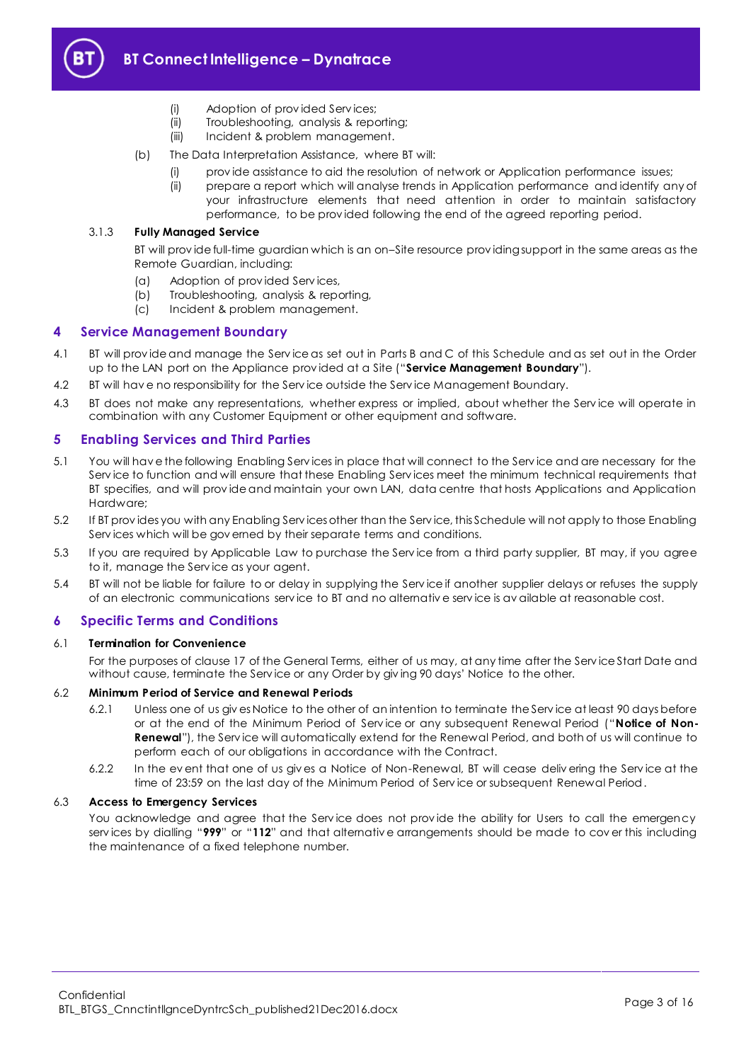

# **BT Connect Intelligence – Dynatrace**

- (i) Adoption of prov ided Serv ices;
- (ii) Troubleshooting, analysis & reporting;
- (iii) Incident & problem management.
- (b) The Data Interpretation Assistance, where BT will:
	- (i) prov ide assistance to aid the resolution of network or Application performance issues;
	- (ii) prepare a report which will analyse trends in Application performance and identify any of your infrastructure elements that need attention in order to maintain satisfactory performance, to be prov ided following the end of the agreed reporting period.

#### 3.1.3 **Fully Managed Service**

BT will prov ide full-time guardian which is an on–Site resource prov iding support in the same areas as the Remote Guardian, including:

- (a) Adoption of prov ided Serv ices,
- (b) Troubleshooting, analysis & reporting,
- (c) Incident & problem management.

#### <span id="page-2-0"></span>**4 Service Management Boundary**

- <span id="page-2-5"></span>4.1 BT will prov ide and manage the Serv ice as set out in Parts B and C of this Schedule and as set out in the Order up to the LAN port on the Appliance prov ided at a Site ("**Service Management Boundary**").
- 4.2 BT will hav e no responsibility for the Serv ice outside the Serv ice Management Boundary.
- 4.3 BT does not make any representations, whether express or implied, about whether the Serv ice will operate in combination with any Customer Equipment or other equipment and software.

## <span id="page-2-1"></span>**5 Enabling Services and Third Parties**

- <span id="page-2-3"></span>5.1 You will hav e the following Enabling Serv ices in place that will connect to the Serv ice and are necessary for the Serv ice to function and will ensure that these Enabling Serv ices meet the minimum technical requirements that BT specifies, and will prov ide and maintain your own LAN, data centre that hosts Applications and Application Hardware;
- 5.2 If BT prov ides you with any Enabling Serv ices other than the Serv ice, this Schedule will not apply to those Enabling Serv ices which will be gov erned by their separate terms and conditions.
- 5.3 If you are required by Applicable Law to purchase the Serv ice from a third party supplier, BT may, if you agree to it, manage the Serv ice as your agent.
- 5.4 BT will not be liable for failure to or delay in supplying the Serv ice if another supplier delays or refuses the supply of an electronic communications serv ice to BT and no alternativ e serv ice is av ailable at reasonable cost.

## <span id="page-2-2"></span>**6 Specific Terms and Conditions**

#### 6.1 **Termination for Convenience**

For the purposes of clause 17 of the General Terms, either of us may, at any time after the Serv ice Start Date and without cause, terminate the Serv ice or any Order by giv ing 90 days' Notice to the other.

#### <span id="page-2-4"></span>6.2 **Minimum Period of Service and Renewal Periods**

- 6.2.1 Unless one of us giv es Notice to the other of an intention to terminate the Serv ice at least 90 days before or at the end of the Minimum Period of Serv ice or any subsequent Renewal Period ("**Notice of Non-Renewal**"), the Serv ice will automatically extend for the Renewal Period, and both of us will continue to perform each of our obligations in accordance with the Contract.
- 6.2.2 In the ev ent that one of us giv es a Notice of Non-Renewal, BT will cease deliv ering the Serv ice at the time of 23:59 on the last day of the Minimum Period of Serv ice or subsequent Renewal Period.

#### 6.3 **Access to Emergency Services**

You acknowledge and agree that the Service does not provide the ability for Users to call the emergency serv ices by dialling "**999**" or "**112**" and that alternativ e arrangements should be made to cov er this including the maintenance of a fixed telephone number.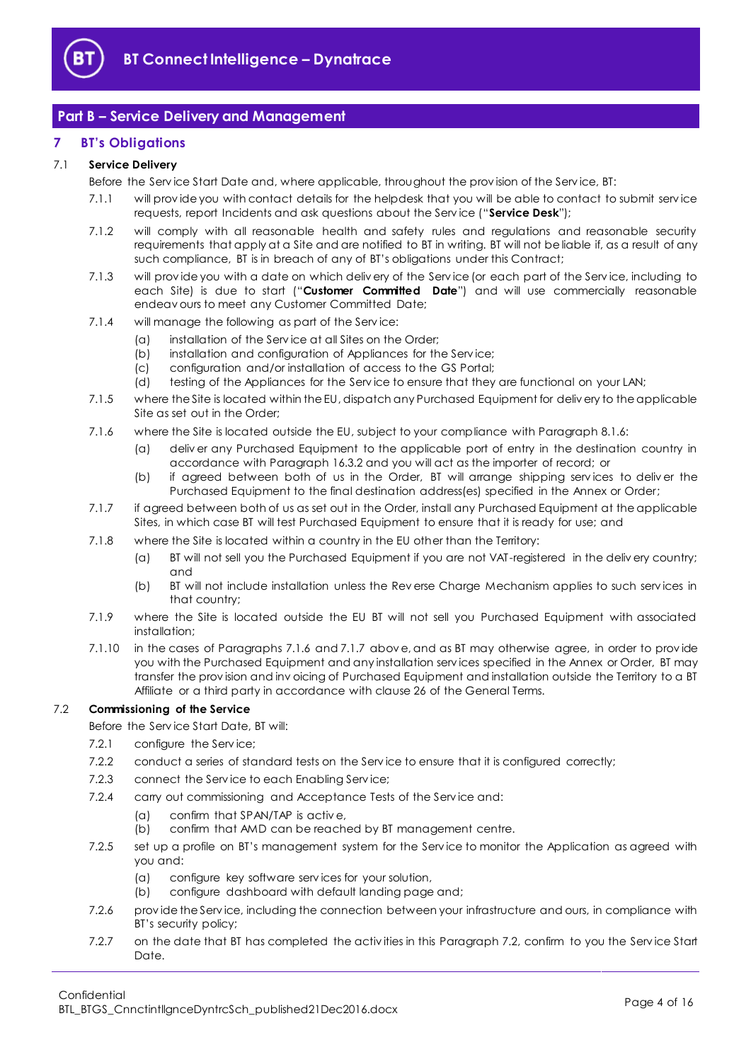

## <span id="page-3-0"></span>**Part B – Service Delivery and Management**

## <span id="page-3-1"></span>**7 BT's Obligations**

## <span id="page-3-6"></span>7.1 **Service Delivery**

Before the Serv ice Start Date and, where applicable, throughout the prov ision of the Serv ice, BT:

- 7.1.1 will prov ide you with contact details for the helpdesk that you will be able to contact to submit serv ice requests, report Incidents and ask questions about the Serv ice ("**Service Desk**");
- 7.1.2 will comply with all reasonable health and safety rules and regulations and reasonable security requirements that apply at a Site and are notified to BT in writing. BT will not be liable if, as a result of any such compliance, BT is in breach of any of BT's obligations under this Contract;
- <span id="page-3-5"></span>7.1.3 will prov ide you with a date on which deliv ery of the Serv ice (or each part of the Serv ice, including to each Site) is due to start ("**Customer Committed Date**") and will use commercially reasonable endeav ours to meet any Customer Committed Date;
- 7.1.4 will manage the following as part of the Serv ice:
	- (a) installation of the Serv ice at all Sites on the Order;
	- (b) installation and configuration of Appliances for the Serv ice;
	- (c) configuration and/or installation of access to the GS Portal;
	- (d) testing of the Appliances for the Service to ensure that they are functional on your LAN;
- 7.1.5 where the Site is located within the EU, dispatch any Purchased Equipment for deliv ery to the applicable Site as set out in the Order;
- <span id="page-3-2"></span>7.1.6 where the Site is located outside the EU, subject to your compliance with Paragraph [8.1.6:](#page-4-1)
	- (a) deliv er any Purchased Equipment to the applicable port of entry in the destination country in accordance with Paragraph [16.3.2](#page-9-1) and you will act as the importer of record; or
	- (b) if agreed between both of us in the Order, BT will arrange shipping serv ices to deliv er the Purchased Equipment to the final destination address(es) specified in the Annex or Order;
- <span id="page-3-3"></span>7.1.7 if agreed between both of us as set out in the Order, install any Purchased Equipment at the applicable Sites, in which case BT will test Purchased Equipment to ensure that it is ready for use; and
- 7.1.8 where the Site is located within a country in the EU other than the Territory:
	- (a) BT will not sell you the Purchased Equipment if you are not VAT-registered in the deliv ery country; and
	- (b) BT will not include installation unless the Rev erse Charge Mechanism applies to such serv ices in that country;
- 7.1.9 where the Site is located outside the EU BT will not sell you Purchased Equipment with associated installation;
- 7.1.10 in the cases of Paragraphs [7.1.6](#page-3-2) and [7.1.7](#page-3-3) abov e, and as BT may otherwise agree, in order to prov ide you with the Purchased Equipment and any installation serv ices specified in the Annex or Order, BT may transfer the prov ision and inv oicing of Purchased Equipment and installation outside the Territory to a BT Affiliate or a third party in accordance with clause 26 of the General Terms.

## <span id="page-3-4"></span>7.2 **Commissioning of the Service**

Before the Serv ice Start Date, BT will:

- 7.2.1 configure the Serv ice;
- 7.2.2 conduct a series of standard tests on the Service to ensure that it is configured correctly;
- 7.2.3 connect the Serv ice to each Enabling Serv ice;
- 7.2.4 carry out commissioning and Acceptance Tests of the Service and:
	- (a) confirm that SPAN/TAP is activ e,
	- (b) confirm that AMD can be reached by BT management centre.
- 7.2.5 set up a profile on BT's management system for the Service to monitor the Application as agreed with you and:
	- (a) configure key software serv ices for your solution,
	- (b) configure dashboard with default landing page and;
- 7.2.6 prov ide the Serv ice, including the connection between your infrastructure and ours, in compliance with BT's security policy;
- 7.2.7 on the date that BT has completed the activities in this Paragraph [7.2,](#page-3-4) confirm to you the Service Start Date.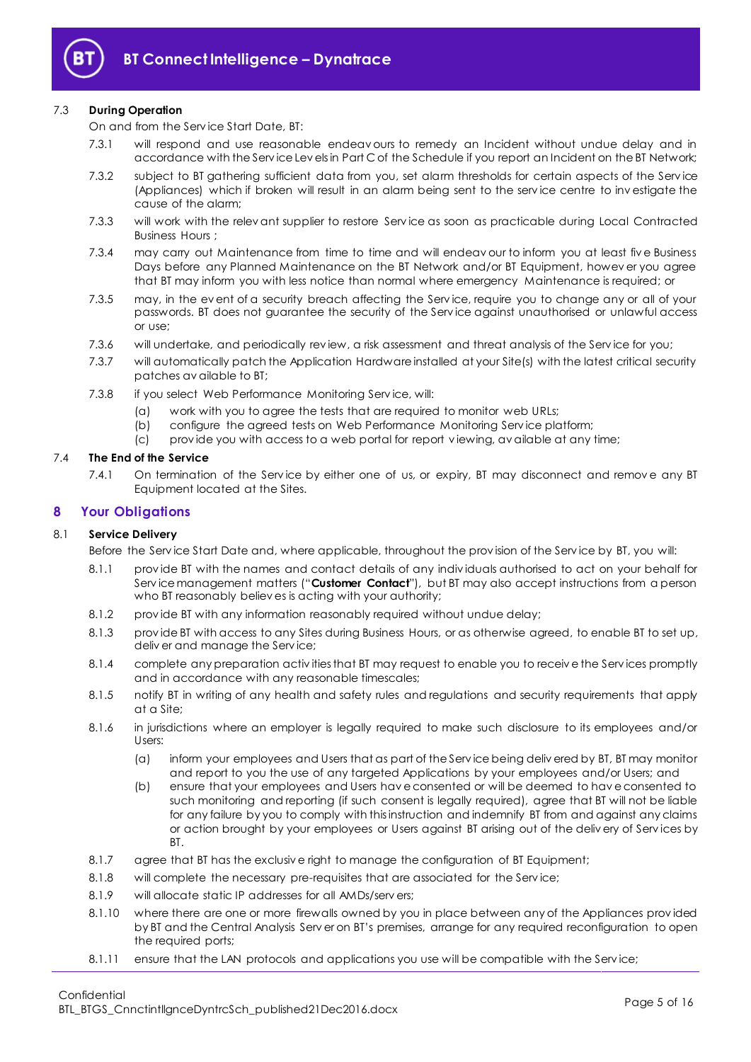

## <span id="page-4-2"></span>7.3 **During Operation**

On and from the Serv ice Start Date, BT:

- 7.3.1 will respond and use reasonable endeav ours to remedy an Incident without undue delay and in accordance with the Serv ice Lev els in Part C of the Schedule if you report an Incident on the BT Network;
- 7.3.2 subject to BT gathering sufficient data from you, set alarm thresholds for certain aspects of the Serv ice (Appliances) which if broken will result in an alarm being sent to the serv ice centre to inv estigate the cause of the alarm;
- <span id="page-4-3"></span>7.3.3 will work with the relev ant supplier to restore Serv ice as soon as practicable during Local Contracted Business Hours ;
- 7.3.4 may carry out Maintenance from time to time and will endeav our to inform you at least fiv e Business Days before any Planned Maintenance on the BT Network and/or BT Equipment, howev er you agree that BT may inform you with less notice than normal where emergency Maintenance is required; or
- 7.3.5 may, in the ev ent of a security breach affecting the Serv ice, require you to change any or all of your passwords. BT does not guarantee the security of the Serv ice against unauthorised or unlawful access or use;
- 7.3.6 will undertake, and periodically rev iew, a risk assessment and threat analysis of the Serv ice for you;
- 7.3.7 will automatically patch the Application Hardware installed at your Site(s) with the latest critical security patches av ailable to BT;
- 7.3.8 if you select Web Performance Monitoring Service, will:
	- (a) work with you to agree the tests that are required to monitor web URLs;
	- (b) configure the agreed tests on Web Performance Monitoring Serv ice platform;
	- (c) prov ide you with access to a web portal for report v iewing, av ailable at any time;

## 7.4 **The End of the Service**

7.4.1 On termination of the Service by either one of us, or expiry, BT may disconnect and remove any BT Equipment located at the Sites.

## <span id="page-4-0"></span>**8 Your Obligations**

## <span id="page-4-4"></span>8.1 **Service Delivery**

Before the Serv ice Start Date and, where applicable, throughout the prov ision of the Serv ice by BT, you will:

- 8.1.1 prov ide BT with the names and contact details of any indiv iduals authorised to act on your behalf for Serv ice management matters ("**Customer Contact**"), but BT may also accept instructions from a person who BT reasonably believ es is acting with your authority;
- 8.1.2 prov ide BT with any information reasonably required without undue delay;
- 8.1.3 prov ide BT with access to any Sites during Business Hours, or as otherwise agreed, to enable BT to set up, deliv er and manage the Serv ice;
- 8.1.4 complete any preparation activ ities that BT may request to enable you to receiv e the Serv ices promptly and in accordance with any reasonable timescales;
- 8.1.5 notify BT in writing of any health and safety rules and regulations and security requirements that apply at a Site;
- <span id="page-4-1"></span>8.1.6 in jurisdictions where an employer is legally required to make such disclosure to its employees and/or Users:
	- (a) inform your employees and Users that as part of the Serv ice being deliv ered by BT, BT may monitor and report to you the use of any targeted Applications by your employees and/or Users; and
	- (b) ensure that your employees and Users hav e consented or will be deemed to hav e consented to such monitoring and reporting (if such consent is legally required), agree that BT will not be liable for any failure by you to comply with this instruction and indemnify BT from and against any claims or action brought by your employees or Users against BT arising out of the deliv ery of Serv ices by BT.
- 8.1.7 agree that BT has the exclusiv e right to manage the configuration of BT Equipment;
- 8.1.8 will complete the necessary pre-requisites that are associated for the Serv ice;
- 8.1.9 will allocate static IP addresses for all AMDs/servers;
- 8.1.10 where there are one or more firewalls owned by you in place between any of the Appliances prov ided by BT and the Central Analysis Serv er on BT's premises, arrange for any required reconfiguration to open the required ports;
- 8.1.11 ensure that the LAN protocols and applications you use will be compatible with the Service;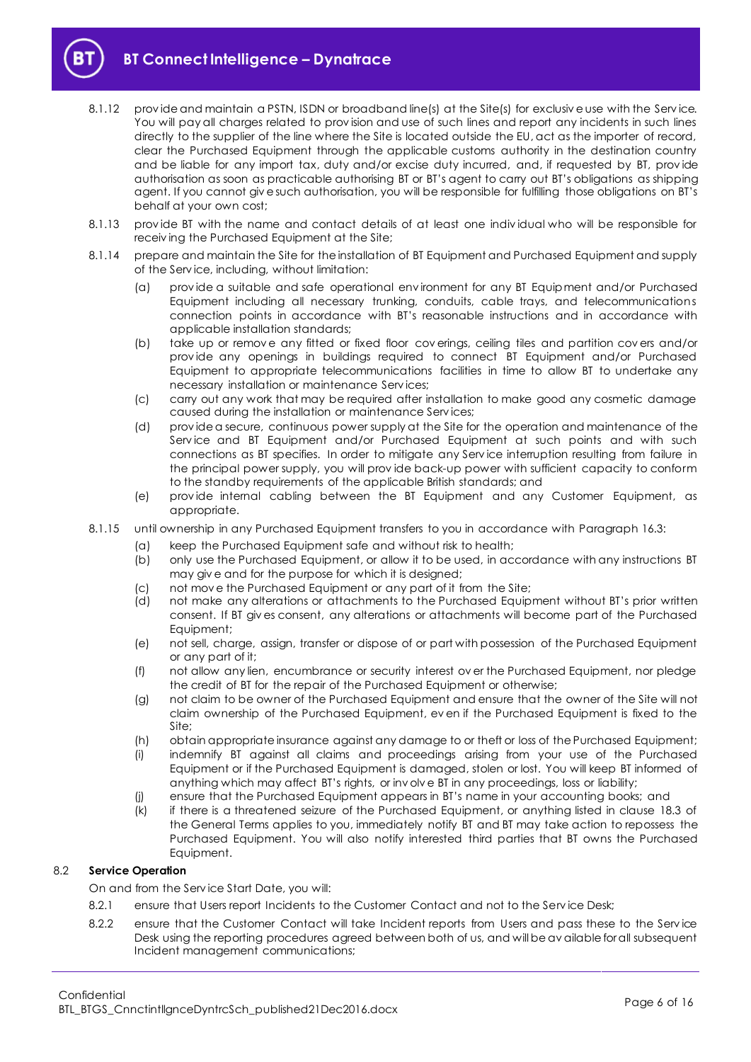**BT Connect Intelligence – Dynatrace**

- 8.1.12 provide and maintain a PSTN, ISDN or broadband line(s) at the Site(s) for exclusive use with the Service. You will pay all charges related to prov ision and use of such lines and report any incidents in such lines directly to the supplier of the line where the Site is located outside the EU, act as the importer of record, clear the Purchased Equipment through the applicable customs authority in the destination country and be liable for any import tax, duty and/or excise duty incurred, and, if requested by BT, prov ide authorisation as soon as practicable authorising BT or BT's agent to carry out BT's obligations as shipping agent. If you cannot giv e such authorisation, you will be responsible for fulfilling those obligations on BT's behalf at your own cost;
- 8.1.13 prov ide BT with the name and contact details of at least one indiv idual who will be responsible for receiv ing the Purchased Equipment at the Site;
- 8.1.14 prepare and maintain the Site for the installation of BT Equipment and Purchased Equipment and supply of the Serv ice, including, without limitation:
	- (a) prov ide a suitable and safe operational env ironment for any BT Equipment and/or Purchased Equipment including all necessary trunking, conduits, cable trays, and telecommunications connection points in accordance with BT's reasonable instructions and in accordance with applicable installation standards;
	- (b) take up or remov e any fitted or fixed floor cov erings, ceiling tiles and partition cov ers and/or prov ide any openings in buildings required to connect BT Equipment and/or Purchased Equipment to appropriate telecommunications facilities in time to allow BT to undertake any necessary installation or maintenance Serv ices;
	- (c) carry out any work that may be required after installation to make good any cosmetic damage caused during the installation or maintenance Serv ices;
	- (d) prov ide a secure, continuous power supply at the Site for the operation and maintenance of the Serv ice and BT Equipment and/or Purchased Equipment at such points and with such connections as BT specifies. In order to mitigate any Serv ice interruption resulting from failure in the principal power supply, you will prov ide back-up power with sufficient capacity to conform to the standby requirements of the applicable British standards; and
	- (e) prov ide internal cabling between the BT Equipment and any Customer Equipment, as appropriate.
- 8.1.15 until ownership in any Purchased Equipment transfers to you in accordance with Paragraph [16.3:](#page-9-2)
	- (a) keep the Purchased Equipment safe and without risk to health;
		- (b) only use the Purchased Equipment, or allow it to be used, in accordance with any instructions BT may giv e and for the purpose for which it is designed;
		- (c) not mov e the Purchased Equipment or any part of it from the Site;
		- (d) not make any alterations or attachments to the Purchased Equipment without BT's prior written consent. If BT giv es consent, any alterations or attachments will become part of the Purchased Equipment;
		- (e) not sell, charge, assign, transfer or dispose of or part with possession of the Purchased Equipment or any part of it;
		- (f) not allow any lien, encumbrance or security interest ov er the Purchased Equipment, nor pledge the credit of BT for the repair of the Purchased Equipment or otherwise;
		- (g) not claim to be owner of the Purchased Equipment and ensure that the owner of the Site will not claim ownership of the Purchased Equipment, ev en if the Purchased Equipment is fixed to the Site;
		- (h) obtain appropriate insurance against any damage to or theft or loss of the Purchased Equipment;
		- (i) indemnify BT against all claims and proceedings arising from your use of the Purchased Equipment or if the Purchased Equipment is damaged, stolen or lost. You will keep BT informed of anything which may affect BT's rights, or inv olv e BT in any proceedings, loss or liability;
		- (j) ensure that the Purchased Equipment appears in BT's name in your accounting books; and
		- (k) if there is a threatened seizure of the Purchased Equipment, or anything listed in clause 18.3 of the General Terms applies to you, immediately notify BT and BT may take action to repossess the Purchased Equipment. You will also notify interested third parties that BT owns the Purchased Equipment.

## <span id="page-5-0"></span>8.2 **Service Operation**

On and from the Serv ice Start Date, you will:

- 8.2.1 ensure that Users report Incidents to the Customer Contact and not to the Service Desk;
- 8.2.2 ensure that the Customer Contact will take Incident reports from Users and pass these to the Service Desk using the reporting procedures agreed between both of us, and will be av ailable for all subsequent Incident management communications;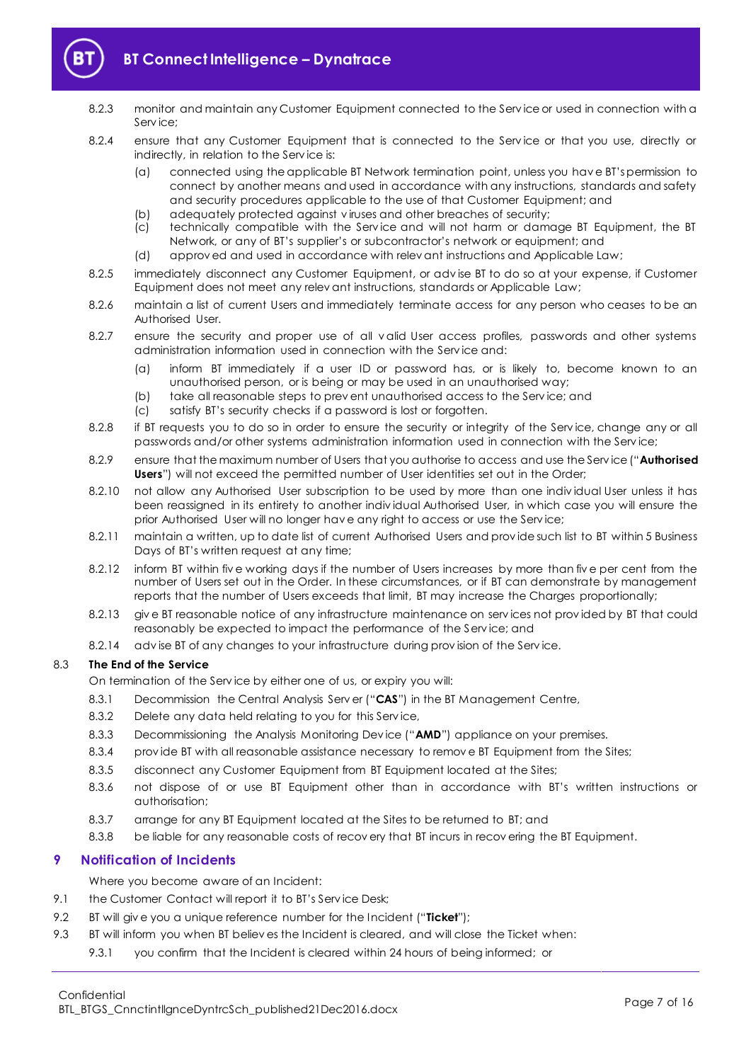

- 8.2.3 monitor and maintain any Customer Equipment connected to the Serv ice or used in connection with a Serv ice;
- 8.2.4 ensure that any Customer Equipment that is connected to the Service or that you use, directly or indirectly, in relation to the Serv ice is:
	- (a) connected using the applicable BT Network termination point, unless you hav e BT'spermission to connect by another means and used in accordance with any instructions, standards and safety and security procedures applicable to the use of that Customer Equipment; and
	- (b) adequately protected against v iruses and other breaches of security;
	- (c) technically compatible with the Serv ice and will not harm or damage BT Equipment, the BT Network, or any of BT's supplier's or subcontractor's network or equipment; and
	- (d) approv ed and used in accordance with relev ant instructions and Applicable Law;
- 8.2.5 immediately disconnect any Customer Equipment, or adv ise BT to do so at your expense, if Customer Equipment does not meet any relev ant instructions, standards or Applicable Law;
- 8.2.6 maintain a list of current Users and immediately terminate access for any person who ceases to be an Authorised User.
- 8.2.7 ensure the security and proper use of all v alid User access profiles, passwords and other systems administration information used in connection with the Serv ice and:
	- (a) inform BT immediately if a user ID or password has, or is likely to, become known to an unauthorised person, or is being or may be used in an unauthorised way;
	- (b) take all reasonable steps to prev ent unauthorised access to the Serv ice; and
	- (c) satisfy BT's security checks if a password is lost or forgotten.
- 8.2.8 if BT requests you to do so in order to ensure the security or integrity of the Service, change any or all passwords and/or other systems administration information used in connection with the Serv ice;
- <span id="page-6-3"></span>8.2.9 ensure that the maximum number of Users that you authorise to access and use the Serv ice ("**Authorised Users**") will not exceed the permitted number of User identities set out in the Order;
- 8.2.10 not allow any Authorised User subscription to be used by more than one indiv idual User unless it has been reassigned in its entirety to another indiv idual Authorised User, in which case you will ensure the prior Authorised User will no longer hav e any right to access or use the Serv ice;
- 8.2.11 maintain a written, up to date list of current Authorised Users and prov ide such list to BT within 5 Business Days of BT's written request at any time;
- 8.2.12 inform BT within five working days if the number of Users increases by more than five per cent from the number of Users set out in the Order. In these circumstances, or if BT can demonstrate by management reports that the number of Users exceeds that limit, BT may increase the Charges proportionally;
- 8.2.13 giv e BT reasonable notice of any infrastructure maintenance on serv ices not prov ided by BT that could reasonably be expected to impact the performance of the Serv ice; and
- 8.2.14 advise BT of any changes to your infrastructure during provision of the Service.

## 8.3 **The End of the Service**

- On termination of the Serv ice by either one of us, or expiry you will:
- 8.3.1 Decommission the Central Analysis Serv er ("**CAS**") in the BT Management Centre,
- 8.3.2 Delete any data held relating to you for this Serv ice,
- 8.3.3 Decommissioning the Analysis Monitoring Dev ice ("**AMD**") appliance on your premises.
- 8.3.4 prov ide BT with all reasonable assistance necessary to remov e BT Equipment from the Sites;
- 8.3.5 disconnect any Customer Equipment from BT Equipment located at the Sites;
- 8.3.6 not dispose of or use BT Equipment other than in accordance with BT's written instructions or authorisation;
- 8.3.7 arrange for any BT Equipment located at the Sites to be returned to BT; and
- 8.3.8 be liable for any reasonable costs of recov ery that BT incurs in recov ering the BT Equipment.

## <span id="page-6-0"></span>**9 Notification of Incidents**

Where you become aware of an Incident:

- 9.1 the Customer Contact will report it to BT's Service Desk;
- <span id="page-6-1"></span>9.2 BT will giv e you a unique reference number for the Incident ("**Ticket**");
- <span id="page-6-2"></span>9.3 BT will inform you when BT believ es the Incident is cleared, and will close the Ticket when:
	- 9.3.1 you confirm that the Incident is cleared within 24 hours of being informed; or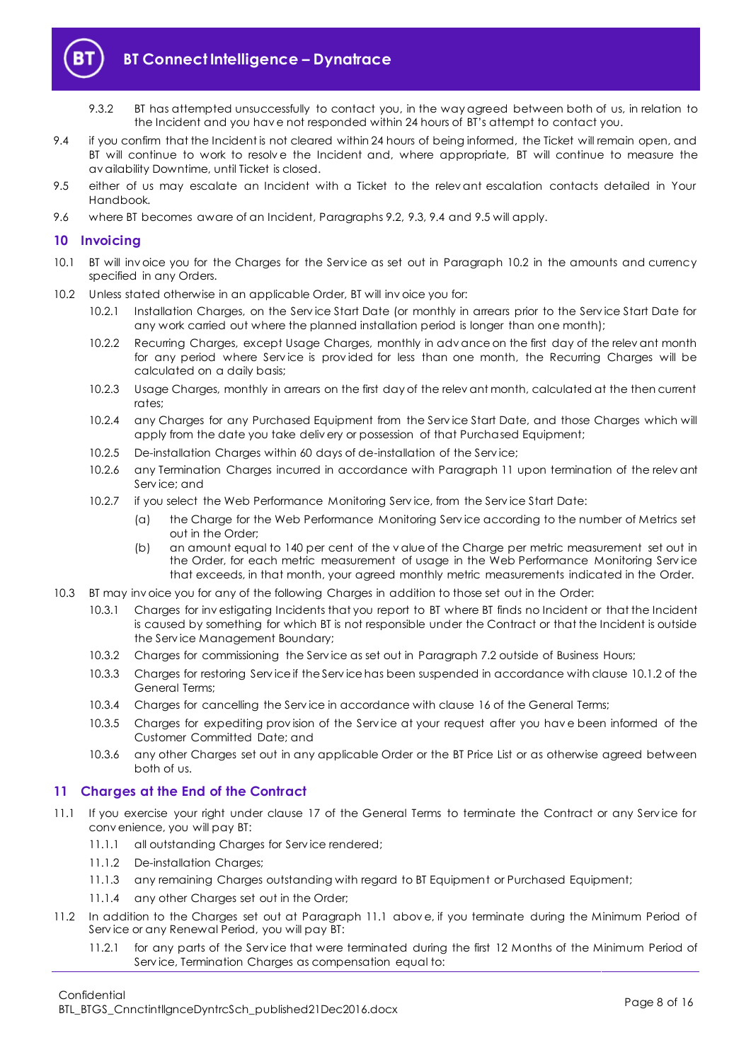

- 9.3.2 BT has attempted unsuccessfully to contact you, in the way agreed between both of us, in relation to the Incident and you hav e not responded within 24 hours of BT's attempt to contact you.
- <span id="page-7-2"></span>9.4 if you confirm that the Incident is not cleared within 24 hours of being informed, the Ticket will remain open, and BT will continue to work to resolve the Incident and, where appropriate, BT will continue to measure the av ailability Downtime, until Ticket is closed.
- <span id="page-7-3"></span>9.5 either of us may escalate an Incident with a Ticket to the relev ant escalation contacts detailed in Your Handbook.
- 9.6 where BT becomes aware of an Incident, Paragraphs [9.2,](#page-6-1) [9.3,](#page-6-2) [9.4](#page-7-2) and [9.5](#page-7-3) will apply.

## <span id="page-7-0"></span>**10 Invoicing**

- 10.1 BT will inv oice you for the Charges for the Serv ice as set out in Paragraph [10.2](#page-7-4) in the amounts and currency specified in any Orders.
- <span id="page-7-4"></span>10.2 Unless stated otherwise in an applicable Order, BT will inv oice you for:
	- 10.2.1 Installation Charges, on the Serv ice Start Date (or monthly in arrears prior to the Serv ice Start Date for any work carried out where the planned installation period is longer than one month);
	- 10.2.2 Recurring Charges, except Usage Charges, monthly in adv ance on the first day of the relev ant month for any period where Service is provided for less than one month, the Recurring Charges will be calculated on a daily basis;
	- 10.2.3 Usage Charges, monthly in arrears on the first day of the relev ant month, calculated at the then current rates;
	- 10.2.4 any Charges for any Purchased Equipment from the Serv ice Start Date, and those Charges which will apply from the date you take deliv ery or possession of that Purchased Equipment;
	- 10.2.5 De-installation Charges within 60 days of de-installation of the Serv ice;
	- 10.2.6 any Termination Charges incurred in accordance with Paragraph [11](#page-7-1) upon termination of the relevant Serv ice; and
	- 10.2.7 if you select the Web Performance Monitoring Serv ice, from the Serv ice Start Date:
		- (a) the Charge for the Web Performance Monitoring Serv ice according to the number of Metrics set out in the Order;
		- (b) an amount equal to 140 per cent of the v alue of the Charge per metric measurement set out in the Order, for each metric measurement of usage in the Web Performance Monitoring Serv ice that exceeds, in that month, your agreed monthly metric measurements indicated in the Order.
- 10.3 BT may inv oice you for any of the following Charges in addition to those set out in the Order:
	- 10.3.1 Charges for inv estigating Incidents that you report to BT where BT finds no Incident or that the Incident is caused by something for which BT is not responsible under the Contract or that the Incident is outside the Serv ice Management Boundary;
	- 10.3.2 Charges for commissioning the Serv ice as set out in Paragraph [7.2](#page-3-4) outside of Business Hours;
	- 10.3.3 Charges for restoring Serv ice if the Serv ice has been suspended in accordance with clause 10.1.2 of the General Terms;
	- 10.3.4 Charges for cancelling the Serv ice in accordance with clause 16 of the General Terms;
	- 10.3.5 Charges for expediting prov ision of the Serv ice at your request after you hav e been informed of the Customer Committed Date; and
	- 10.3.6 any other Charges set out in any applicable Order or the BT Price List or as otherwise agreed between both of us.

## <span id="page-7-1"></span>**11 Charges at the End of the Contract**

- <span id="page-7-5"></span>11.1 If you exercise your right under clause 17 of the General Terms to terminate the Contract or any Service for conv enience, you will pay BT:
	- 11.1.1 all outstanding Charges for Serv ice rendered;
	- 11.1.2 De-installation Charges;
	- 11.1.3 any remaining Charges outstanding with regard to BT Equipment or Purchased Equipment;
	- 11.1.4 any other Charges set out in the Order;
- 11.2 In addition to the Charges set out at Paragraph [11.1](#page-7-5) abov e, if you terminate during the Minimum Period of Serv ice or any Renewal Period, you will pay BT:
	- 11.2.1 for any parts of the Serv ice that were terminated during the first 12 Months of the Minimum Period of Serv ice, Termination Charges as compensation equal to: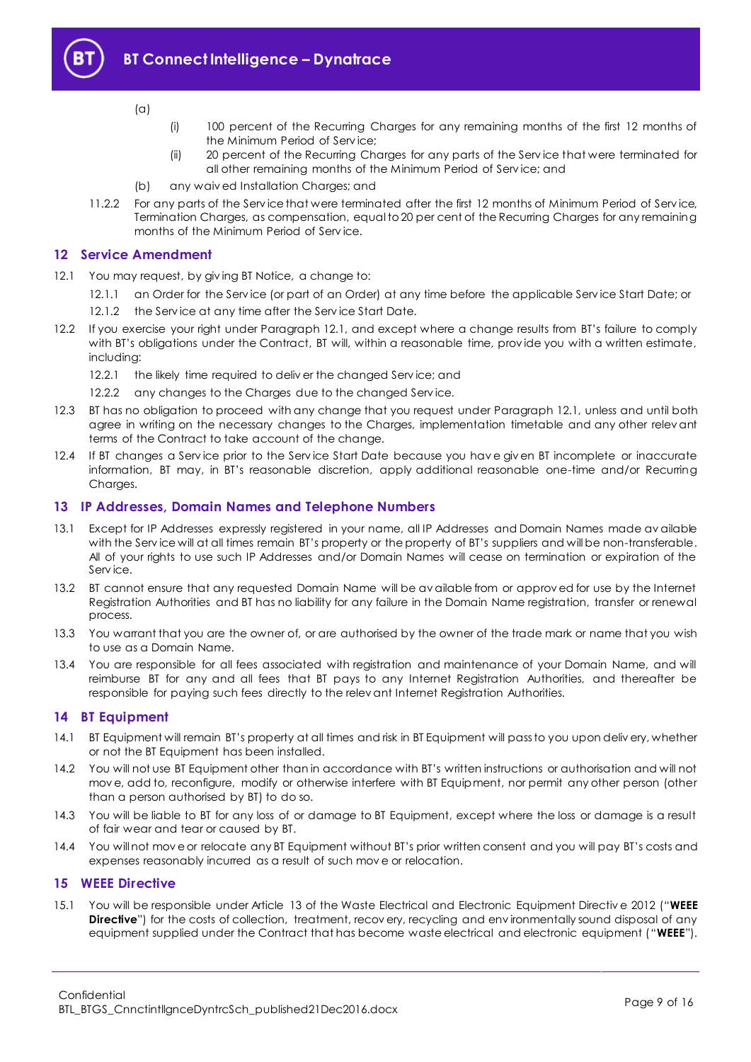

- (a)
- (i) 100 percent of the Recurring Charges for any remaining months of the first 12 months of the Minimum Period of Serv ice;
- (ii) 20 percent of the Recurring Charges for any parts of the Serv ice that were terminated for all other remaining months of the Minimum Period of Serv ice; and
- (b) any waiv ed Installation Charges; and
- 11.2.2 For any parts of the Serv ice that were terminated after the first 12 months of Minimum Period of Serv ice, Termination Charges, as compensation, equal to 20 per cent of the Recurring Charges for any remaining months of the Minimum Period of Serv ice.

## <span id="page-8-0"></span>**12 Service Amendment**

- <span id="page-8-4"></span>12.1 You may request, by giving BT Notice, a change to:
	- 12.1.1 an Order for the Serv ice (or part of an Order) at any time before the applicable Serv ice Start Date; or
	- 12.1.2 the Service at any time after the Service Start Date.
- 12.2 If you exercise your right under Paragraph [12.1,](#page-8-4) and except where a change results from BT's failure to comply with BT's obligations under the Contract, BT will, within a reasonable time, provide you with a written estimate, including:
	- 12.2.1 the likely time required to deliver the changed Service; and
	- 12.2.2 any changes to the Charges due to the changed Serv ice.
- 12.3 BT has no obligation to proceed with any change that you request under Paragraph [12.1,](#page-8-4) unless and until both agree in writing on the necessary changes to the Charges, implementation timetable and any other relev ant terms of the Contract to take account of the change.
- 12.4 If BT changes a Serv ice prior to the Serv ice Start Date because you hav e giv en BT incomplete or inaccurate information, BT may, in BT's reasonable discretion, apply additional reasonable one-time and/or Recurring Charges.

## <span id="page-8-1"></span>**13 IP Addresses, Domain Names and Telephone Numbers**

- 13.1 Except for IP Addresses expressly registered in your name, all IP Addresses and Domain Names made av ailable with the Serv ice will at all times remain BT's property or the property of BT's suppliers and will be non-transferable. All of your rights to use such IP Addresses and/or Domain Names will cease on termination or expiration of the Serv ice.
- 13.2 BT cannot ensure that any requested Domain Name will be av ailable from or approv ed for use by the Internet Registration Authorities and BT has no liability for any failure in the Domain Name registration, transfer or renewal process.
- 13.3 You warrant that you are the owner of, or are authorised by the owner of the trade mark or name that you wish to use as a Domain Name.
- 13.4 You are responsible for all fees associated with registration and maintenance of your Domain Name, and will reimburse BT for any and all fees that BT pays to any Internet Registration Authorities, and thereafter be responsible for paying such fees directly to the relev ant Internet Registration Authorities.

## <span id="page-8-2"></span>**14 BT Equipment**

- 14.1 BT Equipment will remain BT's property at all times and risk in BT Equipment will pass to you upon deliv ery, whether or not the BT Equipment has been installed.
- 14.2 You will not use BT Equipment other than in accordance with BT's written instructions or authorisation and will not mov e, add to, reconfigure, modify or otherwise interfere with BT Equipment, nor permit any other person (other than a person authorised by BT) to do so.
- 14.3 You will be liable to BT for any loss of or damage to BT Equipment, except where the loss or damage is a result of fair wear and tear or caused by BT.
- 14.4 You will not mov e or relocate any BT Equipment without BT's prior written consent and you will pay BT's costs and expenses reasonably incurred as a result of such mov e or relocation.

## <span id="page-8-3"></span>**15 WEEE Directive**

<span id="page-8-5"></span>15.1 You will be responsible under Article 13 of the Waste Electrical and Electronic Equipment Directiv e 2012 ("**WEEE Directive**") for the costs of collection, treatment, recov ery, recycling and environmentally sound disposal of any equipment supplied under the Contract that has become waste electrical and electronic equipment ("**WEEE**").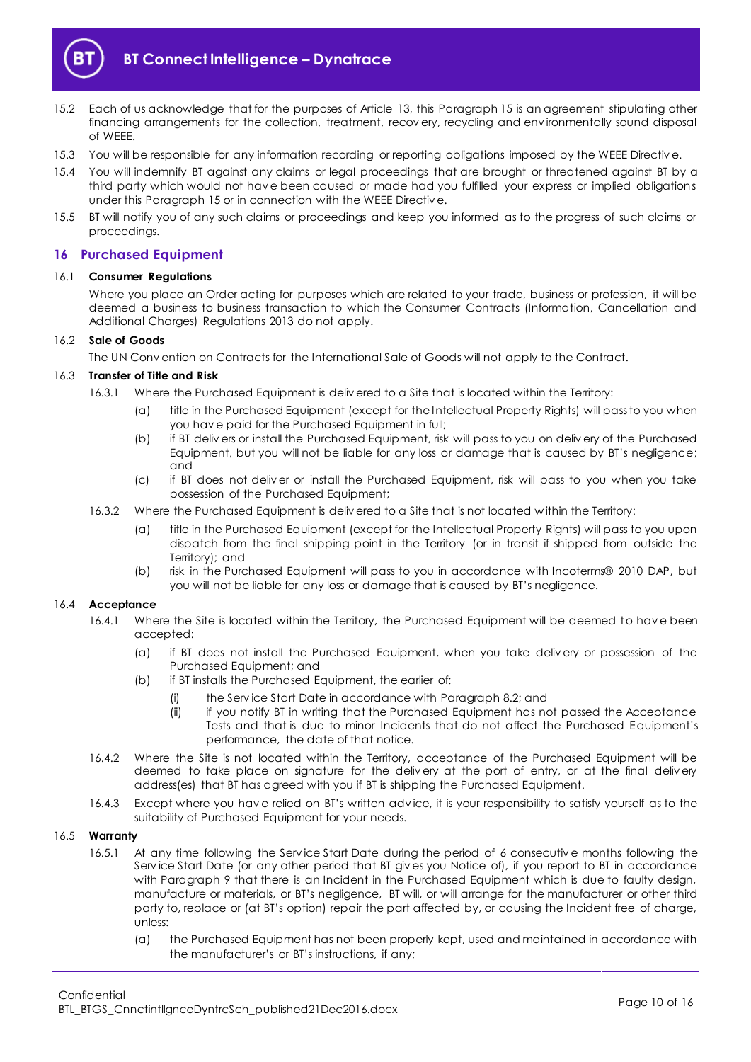

- 15.2 Each of us acknowledge that for the purposes of Article 13, this Paragraph [15](#page-8-3) is an agreement stipulating other financing arrangements for the collection, treatment, recov ery, recycling and env ironmentally sound disposal of WEEE.
- 15.3 You will be responsible for any information recording or reporting obligations imposed by the WEEE Directiv e.
- 15.4 You will indemnify BT against any claims or legal proceedings that are brought or threatened against BT by a third party which would not hav e been caused or made had you fulfilled your express or implied obligations under this Paragraph [15](#page-8-3) or in connection with the WEEE Directiv e.
- 15.5 BT will notify you of any such claims or proceedings and keep you informed as to the progress of such claims or proceedings.

## <span id="page-9-0"></span>**16 Purchased Equipment**

#### 16.1 **Consumer Regulations**

Where you place an Order acting for purposes which are related to your trade, business or profession, it will be deemed a business to business transaction to which the Consumer Contracts (Information, Cancellation and Additional Charges) Regulations 2013 do not apply.

## 16.2 **Sale of Goods**

The UN Conv ention on Contracts for the International Sale of Goods will not apply to the Contract.

## <span id="page-9-2"></span>16.3 **Transfer of Title and Risk**

- 16.3.1 Where the Purchased Equipment is deliv ered to a Site that is located within the Territory:
	- (a) title in the Purchased Equipment (except for the Intellectual Property Rights) will pass to you when you hav e paid for the Purchased Equipment in full;
	- (b) if BT deliv ers or install the Purchased Equipment, risk will pass to you on deliv ery of the Purchased Equipment, but you will not be liable for any loss or damage that is caused by BT's negligence; and
	- (c) if BT does not deliv er or install the Purchased Equipment, risk will pass to you when you take possession of the Purchased Equipment;
- <span id="page-9-1"></span>16.3.2 Where the Purchased Equipment is deliv ered to a Site that is not located w ithin the Territory:
	- (a) title in the Purchased Equipment (except for the Intellectual Property Rights) will pass to you upon dispatch from the final shipping point in the Territory (or in transit if shipped from outside the Territory); and
	- (b) risk in the Purchased Equipment will pass to you in accordance with Incoterms® 2010 DAP, but you will not be liable for any loss or damage that is caused by BT's negligence.

## 16.4 **Acceptance**

- 16.4.1 Where the Site is located within the Territory, the Purchased Equipment will be deemed to hav e been accepted:
	- (a) if BT does not install the Purchased Equipment, when you take deliv ery or possession of the Purchased Equipment; and
	- (b) if BT installs the Purchased Equipment, the earlier of:
		- (i) the Serv ice Start Date in accordance with Paragraph [8.2;](#page-5-0) and
		- (ii) if you notify BT in writing that the Purchased Equipment has not passed the Acceptance Tests and that is due to minor Incidents that do not affect the Purchased Equipment's performance, the date of that notice.
- 16.4.2 Where the Site is not located within the Territory, acceptance of the Purchased Equipment will be deemed to take place on signature for the deliv ery at the port of entry, or at the final deliv ery address(es) that BT has agreed with you if BT is shipping the Purchased Equipment.
- 16.4.3 Except where you hav e relied on BT's written adv ice, it is your responsibility to satisfy yourself as to the suitability of Purchased Equipment for your needs.

#### <span id="page-9-3"></span>16.5 **Warranty**

- 16.5.1 At any time following the Serv ice Start Date during the period of 6 consecutiv e months following the Serv ice Start Date (or any other period that BT giv es you Notice of), if you report to BT in accordance with Paragraph [9](#page-6-0) that there is an Incident in the Purchased Equipment which is due to faulty design, manufacture or materials, or BT's negligence, BT will, or will arrange for the manufacturer or other third party to, replace or (at BT's option) repair the part affected by, or causing the Incident free of charge, unless:
	- (a) the Purchased Equipment has not been properly kept, used and maintained in accordance with the manufacturer's or BT's instructions, if any;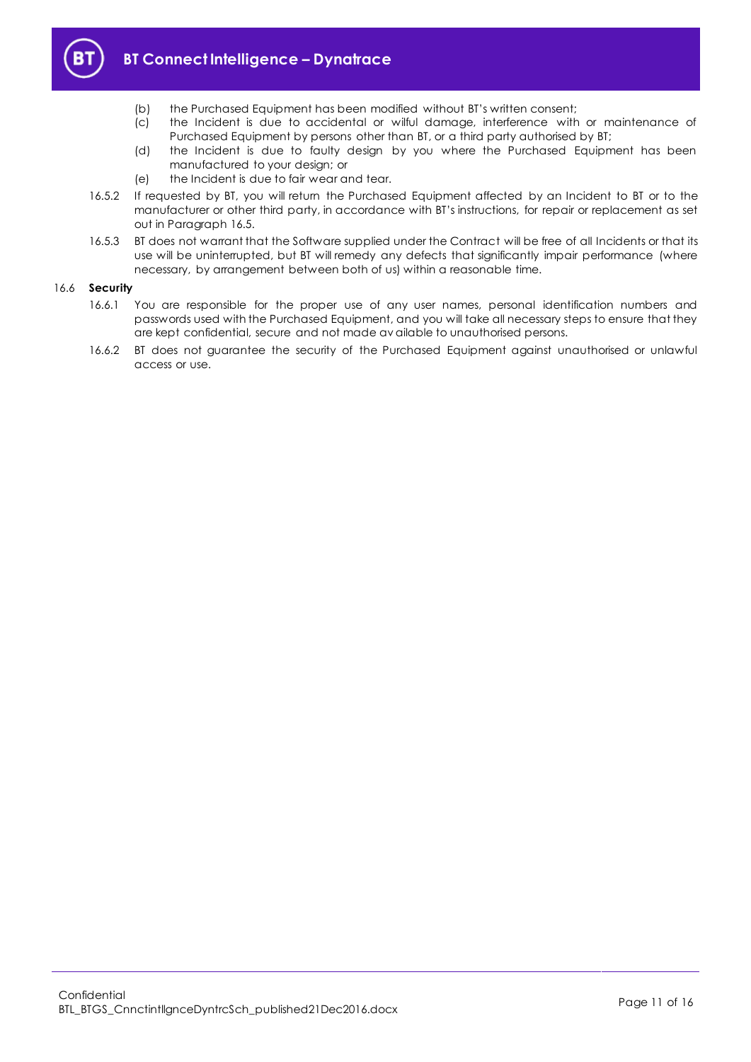

- (b) the Purchased Equipment has been modified without BT's written consent;
- (c) the Incident is due to accidental or wilful damage, interference with or maintenance of Purchased Equipment by persons other than BT, or a third party authorised by BT;
- (d) the Incident is due to faulty design by you where the Purchased Equipment has been manufactured to your design; or
- (e) the Incident is due to fair wear and tear.
- 16.5.2 If requested by BT, you will return the Purchased Equipment affected by an Incident to BT or to the manufacturer or other third party, in accordance with BT's instructions, for repair or replacement as set out in Paragraph [16.5.](#page-9-3)
- 16.5.3 BT does not warrant that the Software supplied under the Contract will be free of all Incidents or that its use will be uninterrupted, but BT will remedy any defects that significantly impair performance (where necessary, by arrangement between both of us) within a reasonable time.

## 16.6 **Security**

- 16.6.1 You are responsible for the proper use of any user names, personal identification numbers and passwords used with the Purchased Equipment, and you will take all necessary steps to ensure that they are kept confidential, secure and not made av ailable to unauthorised persons.
- 16.6.2 BT does not guarantee the security of the Purchased Equipment against unauthorised or unlawful access or use.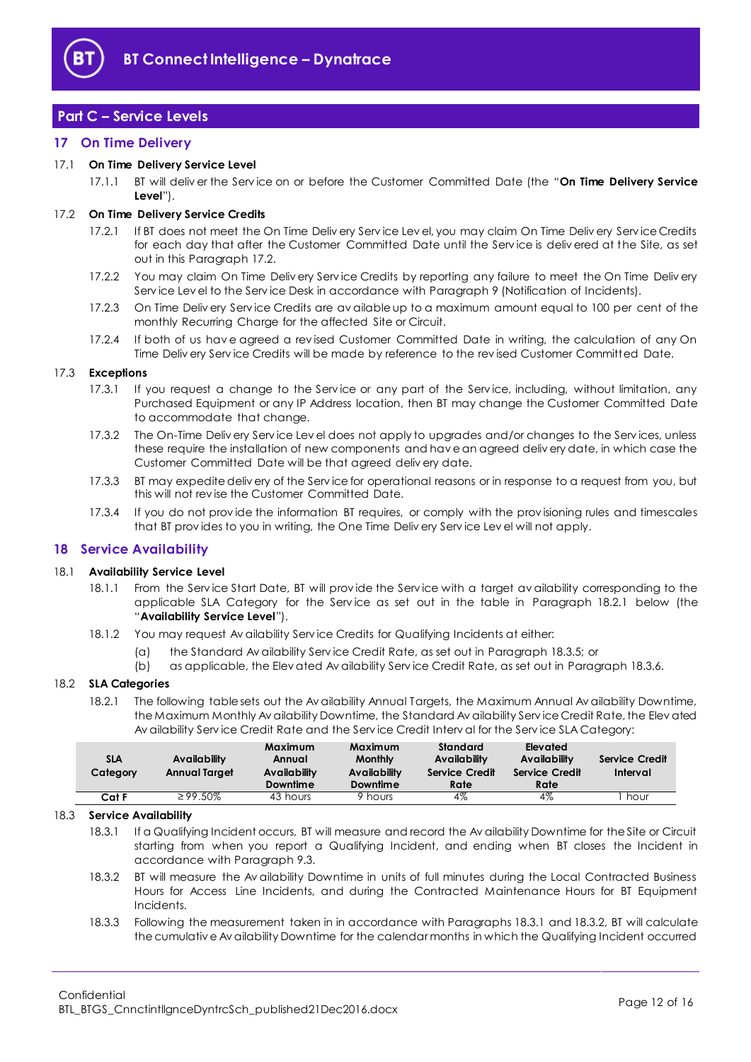

# <span id="page-11-0"></span>**Part C – Service Levels**

## <span id="page-11-1"></span>**17 On Time Delivery**

## <span id="page-11-9"></span>17.1 **On Time Delivery Service Level**

17.1.1 BT will deliv er the Serv ice on or before the Customer Committed Date (the "**On Time Delivery Service Level**").

#### <span id="page-11-3"></span>17.2 **On Time Delivery Service Credits**

- 17.2.1 If BT does not meet the On Time Deliv ery Service Lev el, you may claim On Time Deliv ery Service Credits for each day that after the Customer Committed Date until the Serv ice is deliv ered at the Site, as set out in this Paragraph [17.2.](#page-11-3)
- 17.2.2 You may claim On Time Deliv ery Serv ice Credits by reporting any failure to meet the On Time Deliv ery Serv ice Lev el to the Serv ice Desk in accordance with Paragraph [9](#page-6-0) (Notification of Incidents).
- 17.2.3 On Time Deliv ery Serv ice Credits are av ailable up to a maximum amount equal to 100 per cent of the monthly Recurring Charge for the affected Site or Circuit.
- 17.2.4 If both of us have agreed a revised Customer Committed Date in writing, the calculation of any On Time Deliv ery Serv ice Credits will be made by reference to the rev ised Customer Committed Date.

#### 17.3 **Exceptions**

- 17.3.1 If you request a change to the Serv ice or any part of the Serv ice, including, without limitation, any Purchased Equipment or any IP Address location, then BT may change the Customer Committed Date to accommodate that change.
- 17.3.2 The On-Time Deliv ery Serv ice Lev el does not apply to upgrades and/or changes to the Serv ices, unless these require the installation of new components and hav e an agreed deliv ery date, in which case the Customer Committed Date will be that agreed deliv ery date.
- 17.3.3 BT may expedite deliv ery of the Serv ice for operational reasons or in response to a request from you, but this will not rev ise the Customer Committed Date.
- 17.3.4 If you do not prov ide the information BT requires, or comply with the prov isioning rules and timescales that BT prov ides to you in writing, the One Time Deliv ery Serv ice Lev el will not apply.

## <span id="page-11-2"></span>**18 Service Availability**

#### <span id="page-11-7"></span>18.1 **Availability Service Level**

- 18.1.1 From the Serv ice Start Date, BT will prov ide the Serv ice with a target av ailability corresponding to the applicable SLA Category for the Service as set out in the table in Paragraph [18.2.1](#page-11-4) below (the "**Availability Service Level**").
- 18.1.2 You may request Av ailability Serv ice Credits for Qualifying Incidents at either:
	- (a) the Standard Av ailability Serv ice Credit Rate, as set out in Paragraph [18.3.5;](#page-12-1) or
	- (b) as applicable, the Elev ated Av ailability Serv ice Credit Rate, as set out in Paragraph [18.3.6.](#page-12-2)

#### <span id="page-11-4"></span>18.2 **SLA Categories**

18.2.1 The following table sets out the Av ailability Annual Targets, the Maximum Annual Av ailability Downtime, the Maximum Monthly Av ailability Downtime, the Standard Av ailability Serv ice Credit Rate, the Elev ated Av ailability Serv ice Credit Rate and the Serv ice Credit Interv al for the Serv ice SLA Category:

| SLA<br>Category | Availability<br>Annual Target | Maximum<br>Annual<br><b>Availability</b><br>Downtime | Maximum<br><b>Monthly</b><br><b>Availability</b><br>Downtime | Standard<br>Availability<br><b>Service Credit</b><br>Rate | Elevated<br>Availability<br>Service Credit<br>Rate | Service Credit<br>Interval |
|-----------------|-------------------------------|------------------------------------------------------|--------------------------------------------------------------|-----------------------------------------------------------|----------------------------------------------------|----------------------------|
| Cat F           | $\geq$ 99.50%                 | 43 hours                                             | hours                                                        | 4%                                                        | 4%                                                 | hour                       |

#### <span id="page-11-5"></span>18.3 **Service Availability**

18.3.1 If a Qualifying Incident occurs, BT will measure and record the Av ailability Downtime for the Site or Circuit starting from when you report a Qualifying Incident, and ending when BT closes the Incident in accordance with Paragraph [9.3.](#page-6-2)

- <span id="page-11-6"></span>18.3.2 BT will measure the Av ailability Downtime in units of full minutes during the Local Contracted Business Hours for Access Line Incidents, and during the Contracted Maintenance Hours for BT Equipment Incidents.
- <span id="page-11-8"></span>18.3.3 Following the measurement taken in in accordance with Paragraph[s 18.3.1](#page-11-5) an[d 18.3.2,](#page-11-6) BT will calculate the cumulativ e Av ailability Downtime for the calendar months in which the Qualifying Incident occurred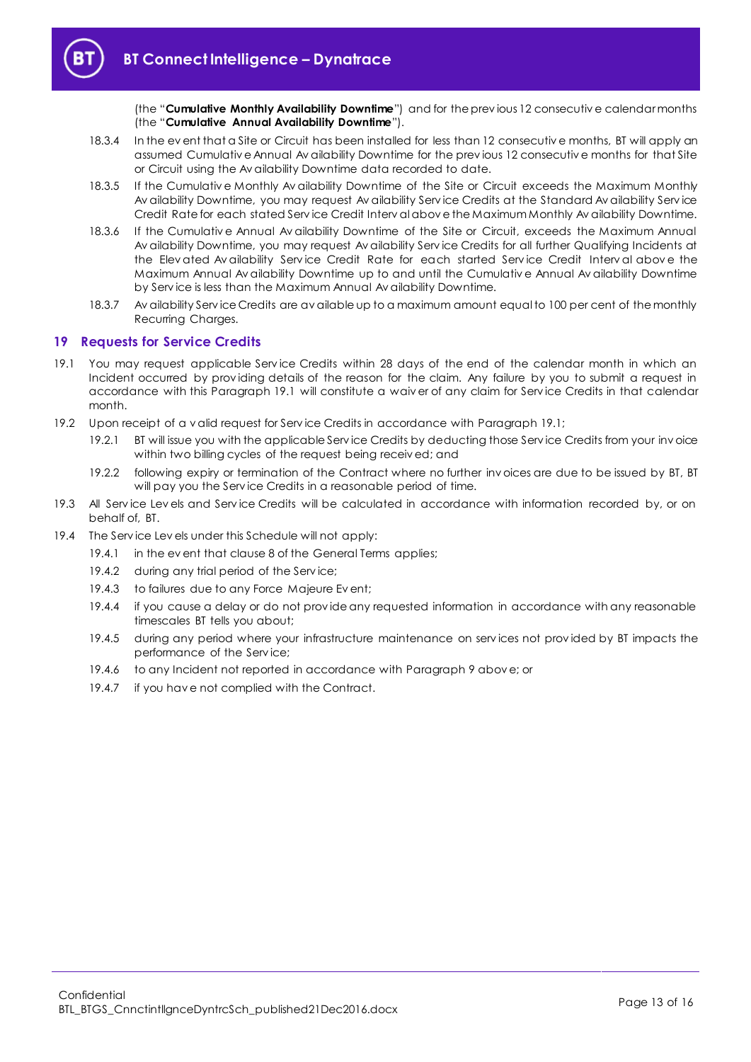(the "**Cumulative Monthly Availability Downtime**") and for the prev ious 12 consecutiv e calendar months (the "**Cumulative Annual Availability Downtime**").

- 18.3.4 In the ev ent that a Site or Circuit has been installed for less than 12 consecutiv e months, BT will apply an assumed Cumulativ e Annual Av ailability Downtime for the prev ious 12 consecutiv e months for that Site or Circuit using the Av ailability Downtime data recorded to date.
- <span id="page-12-1"></span>18.3.5 If the Cumulativ e Monthly Av ailability Downtime of the Site or Circuit exceeds the Maximum Monthly Av ailability Downtime, you may request Av ailability Serv ice Credits at the Standard Av ailability Serv ice Credit Rate for each stated Serv ice Credit Interv al abov e the Maximum Monthly Av ailability Downtime.
- <span id="page-12-2"></span>18.3.6 If the Cumulativ e Annual Av ailability Downtime of the Site or Circuit, exceeds the Maximum Annual Av ailability Downtime, you may request Av ailability Serv ice Credits for all further Qualifying Incidents at the Elev ated Av ailability Serv ice Credit Rate for each started Serv ice Credit Interv al abov e the Maximum Annual Av ailability Downtime up to and until the Cumulativ e Annual Av ailability Downtime by Serv ice is less than the Maximum Annual Av ailability Downtime.
- 18.3.7 Av ailability Serv ice Credits are av ailable up to a maximum amount equal to 100 per cent of the monthly Recurring Charges.

## <span id="page-12-0"></span>**19 Requests for Service Credits**

- <span id="page-12-3"></span>19.1 You may request applicable Serv ice Credits within 28 days of the end of the calendar month in which an Incident occurred by prov iding details of the reason for the claim. Any failure by you to submit a request in accordance with this Paragraph [19.1](#page-12-3) will constitute a waiv er of any claim for Serv ice Credits in that calendar month.
- 19.2 Upon receipt of a v alid request for Serv ice Credits in accordance with Paragraph [19.1;](#page-12-3)
	- 19.2.1 BT will issue you with the applicable Serv ice Credits by deducting those Serv ice Credits from your inv oice within two billing cycles of the request being receiv ed; and
	- 19.2.2 following expiry or termination of the Contract where no further inv oices are due to be issued by BT, BT will pay you the Serv ice Credits in a reasonable period of time.
- 19.3 All Serv ice Lev els and Serv ice Credits will be calculated in accordance with information recorded by, or on behalf of, BT.
- 19.4 The Serv ice Lev els under this Schedule will not apply:
	- 19.4.1 in the ev ent that clause 8 of the General Terms applies;
	- 19.4.2 during any trial period of the Service;
	- 19.4.3 to failures due to any Force Majeure Ev ent;
	- 19.4.4 if you cause a delay or do not prov ide any requested information in accordance with any reasonable timescales BT tells you about;
	- 19.4.5 during any period where your infrastructure maintenance on serv ices not prov ided by BT impacts the performance of the Serv ice;
	- 19.4.6 to any Incident not reported in accordance with Paragraph [9](#page-6-0) abov e; or
	- 19.4.7 if you hav e not complied with the Contract.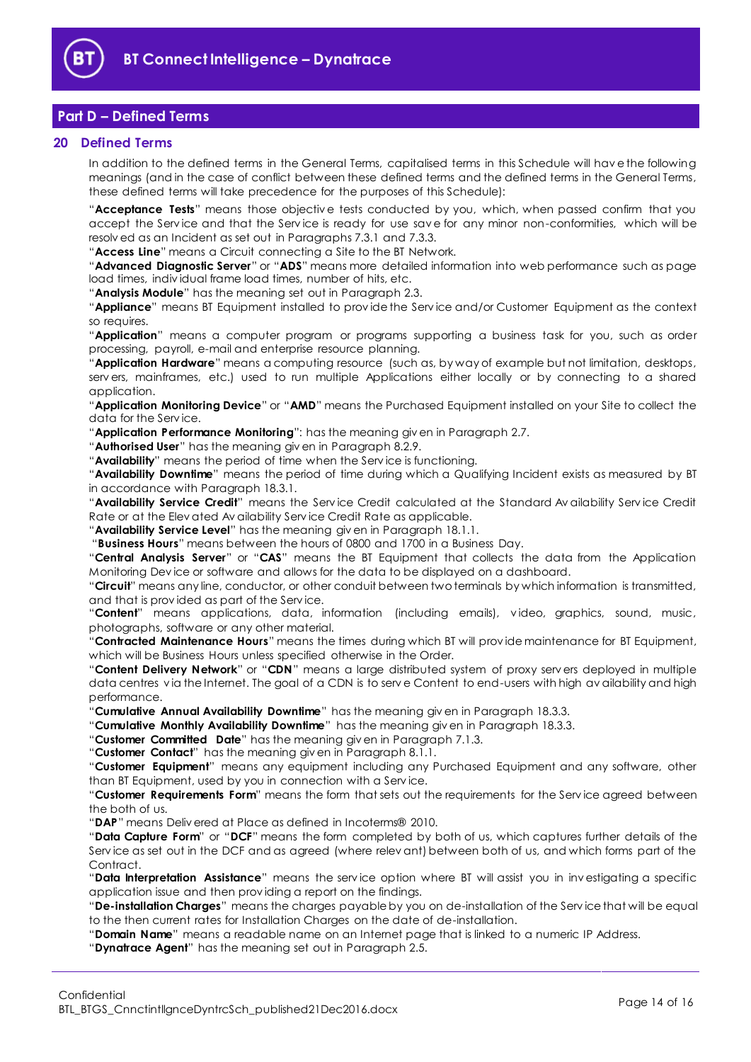

# <span id="page-13-0"></span>**Part D – Defined Terms**

## <span id="page-13-1"></span>**20 Defined Terms**

In addition to the defined terms in the General Terms, capitalised terms in this Schedule will hav e the following meanings (and in the case of conflict between these defined terms and the defined terms in the General Terms, these defined terms will take precedence for the purposes of this Schedule):

"**Acceptance Tests**" means those objectiv e tests conducted by you, which, when passed confirm that you accept the Serv ice and that the Serv ice is ready for use sav e for any minor non-conformities, which will be resolv ed as an Incident as set out in Paragraphs [7.3.1](#page-4-2) and [7.3.3.](#page-4-3)

"**Access Line**" means a Circuit connecting a Site to the BT Network.

"**Advanced Diagnostic Server**" or "**ADS**" means more detailed information into web performance such as page load times, indiv idual frame load times, number of hits, etc.

"**Analysis Module**" has the meaning set out in Paragraph [2.3.](#page-1-5)

"**Appliance**" means BT Equipment installed to prov ide the Serv ice and/or Customer Equipment as the context so requires.

"**Application**" means a computer program or programs supporting a business task for you, such as order processing, payroll, e-mail and enterprise resource planning.

"**Application Hardware**" means a computing resource (such as, by way of example but not limitation, desktops, serv ers, mainframes, etc.) used to run multiple Applications either locally or by connecting to a shared application.

"**Application Monitoring Device**" or "**AMD**" means the Purchased Equipment installed on your Site to collect the data for the Serv ice.

"**Application Performance Monitoring**": has the meaning giv en in Paragraph [2.7.](#page-1-6)

"**Authorised User**" has the meaning giv en in Paragraph [8.2.9.](#page-6-3)

"**Availability**" means the period of time when the Serv ice is functioning.

"**Availability Downtime**" means the period of time during which a Qualifying Incident exists as measured by BT in accordance with Paragraph [18.3.1.](#page-11-5) 

"**Availability Service Credit**" means the Serv ice Credit calculated at the Standard Av ailability Serv ice Credit Rate or at the Elev ated Av ailability Serv ice Credit Rate as applicable.

"**Availability Service Level**" has the meaning giv en in Paragraph [18.1.1.](#page-11-7)

"**Business Hours**" means between the hours of 0800 and 1700 in a Business Day.

"**Central Analysis Server**" or "**CAS**" means the BT Equipment that collects the data from the Application Monitoring Dev ice or software and allows for the data to be displayed on a dashboard.

"**Circuit**" means any line, conductor, or other conduit between two terminals by which information is transmitted, and that is prov ided as part of the Serv ice.

"**Content**" means applications, data, information (including emails), v ideo, graphics, sound, music, photographs, software or any other material.

"**Contracted Maintenance Hours**" means the times during which BT will prov ide maintenance for BT Equipment, which will be Business Hours unless specified otherwise in the Order.

"**Content Delivery Network**" or "**CDN**" means a large distributed system of proxy serv ers deployed in multiple data centres via the Internet. The goal of a CDN is to serve Content to end-users with high availability and high performance.

"**Cumulative Annual Availability Downtime**" has the meaning giv en in Paragraph [18.3.3.](#page-11-8)

"**Cumulative Monthly Availability Downtime**" has the meaning giv en in Paragraph [18.3.3.](#page-11-8)

"**Customer Committed Date**" has the meaning giv en in Paragraph [7.1.3.](#page-3-5)

"**Customer Contact**" has the meaning giv en in Paragraph [8.1.1.](#page-4-4)

"**Customer Equipment**" means any equipment including any Purchased Equipment and any software, other than BT Equipment, used by you in connection with a Serv ice.

"**Customer Requirements Form**" means the form that sets out the requirements for the Serv ice agreed between the both of us.

"**DAP**" means Deliv ered at Place as defined in Incoterms® 2010.

"**Data Capture Form**" or "**DCF**" means the form completed by both of us, which captures further details of the Serv ice as set out in the DCF and as agreed (where relev ant) between both of us, and which forms part of the Contract.

"**Data Interpretation Assistance**" means the serv ice option where BT will assist you in inv estigating a specific application issue and then prov iding a report on the findings.

"**De-installation Charges**" means the charges payable by you on de-installation of the Serv ice that will be equal to the then current rates for Installation Charges on the date of de-installation.

"**Domain Name**" means a readable name on an Internet page that is linked to a numeric IP Address.

"**Dynatrace Agent**" has the meaning set out in Paragraph [2.5.](#page-1-7)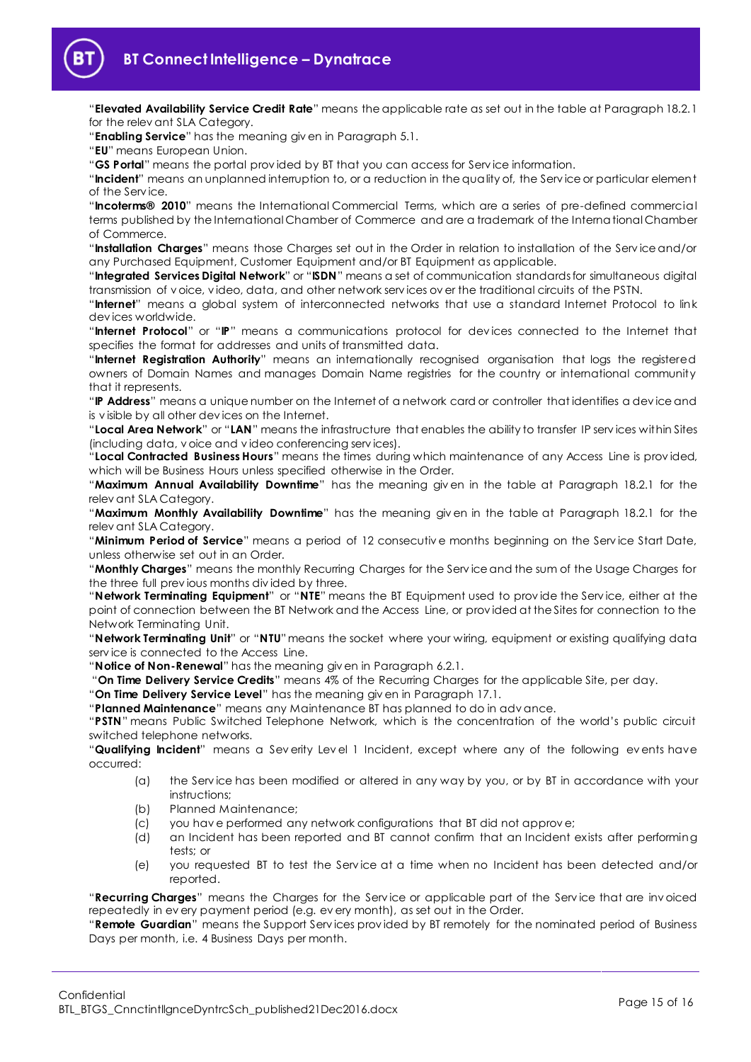"**Elevated Availability Service Credit Rate**" means the applicable rate as set out in the table at Paragraph [18.2.1](#page-11-4) for the relev ant SLA Category.

"**Enabling Service**" has the meaning giv en in Paragraph [5.1.](#page-2-3)

"**EU**" means European Union.

"**GS Portal**" means the portal prov ided by BT that you can access for Serv ice information.

"**Incident**" means an unplanned interruption to, or a reduction in the quality of, the Serv ice or particular element of the Serv ice.

"**Incoterms® 2010**" means the International Commercial Terms, which are a series of pre-defined commercial terms published by the International Chamber of Commerce and are a trademark of the International Chamber of Commerce.

"**Installation Charges**" means those Charges set out in the Order in relation to installation of the Serv ice and/or any Purchased Equipment, Customer Equipment and/or BT Equipment as applicable.

"**Integrated Services Digital Network**" or "**ISDN**" means a set of communication standards for simultaneous digital transmission of v oice, v ideo, data, and other network serv ices ov er the traditional circuits of the PSTN.

"**Internet**" means a global system of interconnected networks that use a standard Internet Protocol to link dev ices worldwide.

"**Internet Protocol**" or "**IP**" means a communications protocol for dev ices connected to the Internet that specifies the format for addresses and units of transmitted data.

"**Internet Registration Authority**" means an internationally recognised organisation that logs the registered owners of Domain Names and manages Domain Name registries for the country or international community that it represents.

"**IP Address**" means a unique number on the Internet of a network card or controller that identifies a dev ice and is v isible by all other dev ices on the Internet.

"**Local Area Network**" or "**LAN**" means the infrastructure that enables the ability to transfer IP serv ices within Sites (including data, v oice and v ideo conferencing serv ices).

"**Local Contracted Business Hours**" means the times during which maintenance of any Access Line is prov ided, which will be Business Hours unless specified otherwise in the Order.

"**Maximum Annual Availability Downtime**" has the meaning giv en in the table at Paragraph [18.2.1](#page-11-4) for the relev ant SLA Category.

"**Maximum Monthly Availability Downtime**" has the meaning giv en in the table at Paragraph [18.2.1](#page-11-4) for the relev ant SLA Category.

"**Minimum Period of Service**" means a period of 12 consecutiv e months beginning on the Serv ice Start Date, unless otherwise set out in an Order.

"**Monthly Charges**" means the monthly Recurring Charges for the Serv ice and the sum of the Usage Charges for the three full prev ious months div ided by three.

"**Network Terminating Equipment**" or "**NTE**" means the BT Equipment used to prov ide the Serv ice, either at the point of connection between the BT Network and the Access Line, or prov ided at the Sites for connection to the Network Terminating Unit.

"**Network Terminating Unit**" or "**NTU**"means the socket where your wiring, equipment or existing qualifying data serv ice is connected to the Access Line.

"**Notice of Non-Renewal**" has the meaning giv en in Paragraph [6.2.1.](#page-2-4)

"**On Time Delivery Service Credits**" means 4% of the Recurring Charges for the applicable Site, per day.

"**On Time Delivery Service Level**" has the meaning giv en in Paragraph [17.1.](#page-11-9)

"**Planned Maintenance**" means any Maintenance BT has planned to do in adv ance.

"**PSTN**" means Public Switched Telephone Network, which is the concentration of the world's public circuit switched telephone networks.

"**Qualifying Incident**" means a Sev erity Lev el 1 Incident, except where any of the following ev ents have occurred:

- (a) the Serv ice has been modified or altered in any way by you, or by BT in accordance with your instructions;
- (b) Planned Maintenance;
- (c) you hav e performed any network configurations that BT did not approv e;
- (d) an Incident has been reported and BT cannot confirm that an Incident exists after performing tests; or
- (e) you requested BT to test the Serv ice at a time when no Incident has been detected and/or reported.

"**Recurring Charges**" means the Charges for the Serv ice or applicable part of the Serv ice that are inv oiced repeatedly in ev ery payment period (e.g. ev ery month), as set out in the Order.

"**Remote Guardian**" means the Support Serv ices prov ided by BT remotely for the nominated period of Business Days per month, i.e. 4 Business Days per month.